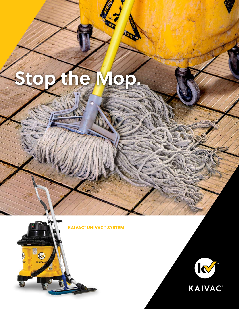# **Stop the Mop.**

 $\frac{1}{2}$ 

KAIVAC® UNIVAC™ SYSTEM

**EN CONTRACTOR** 

 $\widehat{\mathcal{C}}$ 

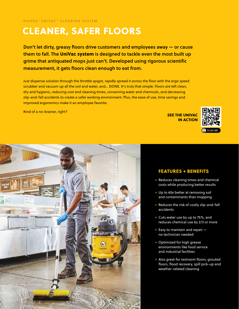## CLEANER, SAFER FLOORS

Don't let dirty, greasy floors drive customers and employees away — or cause them to fall. The UniVac system is designed to tackle even the most built up grime that antiquated mops just can't. Developed using rigorous scientific measurement, it gets floors clean enough to eat from.

Just dispense solution through the throttle spigot, rapidly spread it across the floor with the ergo speed scrubber and vacuum up all the soil and water, and… DONE. It's truly that simple. Floors are left clean, dry and hygienic, reducing cost and cleaning times, conserving water and chemicals, and decreasing slip-and-fall accidents to create a safer working environment. Plus, the ease of use, time savings and improved ergonomics make it an employee favorite.

Kind of a no-brainer, right?

SEE THE UNIVAC IN ACTION





#### FEATURES + BENEFITS

- + Reduces cleaning times and chemical costs while producing better results
- + Up to 60x better at removing soil and contaminants than mopping
- + Reduces the risk of costly slip-and-fall accidents
- + Cuts water use by up to 75%, and reduces chemical use by 2/3 or more
- $+$  Easy to maintain and repair  $$ no technician needed
- + Optimized for high grease environments like food service and industrial facilities
- + Also great for restroom floors, grouted floors, flood recovery, spill pick-up and weather-related cleaning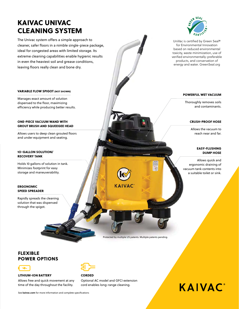### KAIVAC UNIVAC CLEANING SYSTEM

The Univac system offers a simple approach to cleaner, safer floors in a nimble single-piece package, ideal for congested areas with limited storage. Its extreme cleaning capabilities enable hygienic results in even the heaviest soil and grease conditions, leaving floors really clean and bone dry.



UniVac is certified by Green Seal® for Environmental Innovation based on reduced environmental toxicity, waste minimization, use of verified environmentally-preferable products, and conservation of energy and water. GreenSeal.org

#### POWERFUL WET VACUUM

Thoroughly removes soils and contaminants.

#### CRUSH-PROOF HOSE

Allows the vacuum to reach near and far.

#### EASY-FLUSHING DUMP HOSE

Allows quick and ergonomic draining of vacuum tank contents into a suitable toilet or sink.

#### VARIABLE FLOW SPIGOT (NOT SHOWN)

Manages exact amount of solution dispensed to the floor, maximizing efficiency while producing better results.

#### ONE-PIECE VACUUM WAND WITH GROUT BRUSH AND SQUEEGEE HEAD

Allows users to deep clean grouted floors and under equipment and seating.

#### 1O-GALLON SOLUTION/ RECOVERY TANK

Holds 10 gallons of solution in tank. Minimizes footprint for easy storage and maneuverability.

#### ERGONOMIC SPEED SPREADER

Rapidly spreads the cleaning solution that was dispensed through the spigot.

LITHIUM-ION BATTERY

POWER OPTIONS

FLEXIBLE



#### **CORDED**

Optional AC model and GFCI extension cord enables long-range cleaning.

Protected by multiple US patents. Multiple patents pending.

**AIVAC** 

# **KAIVAC**

See **kaivac.com** for more information and complete specifications

Allows free and quick movement at any time of the day throughout the facility.